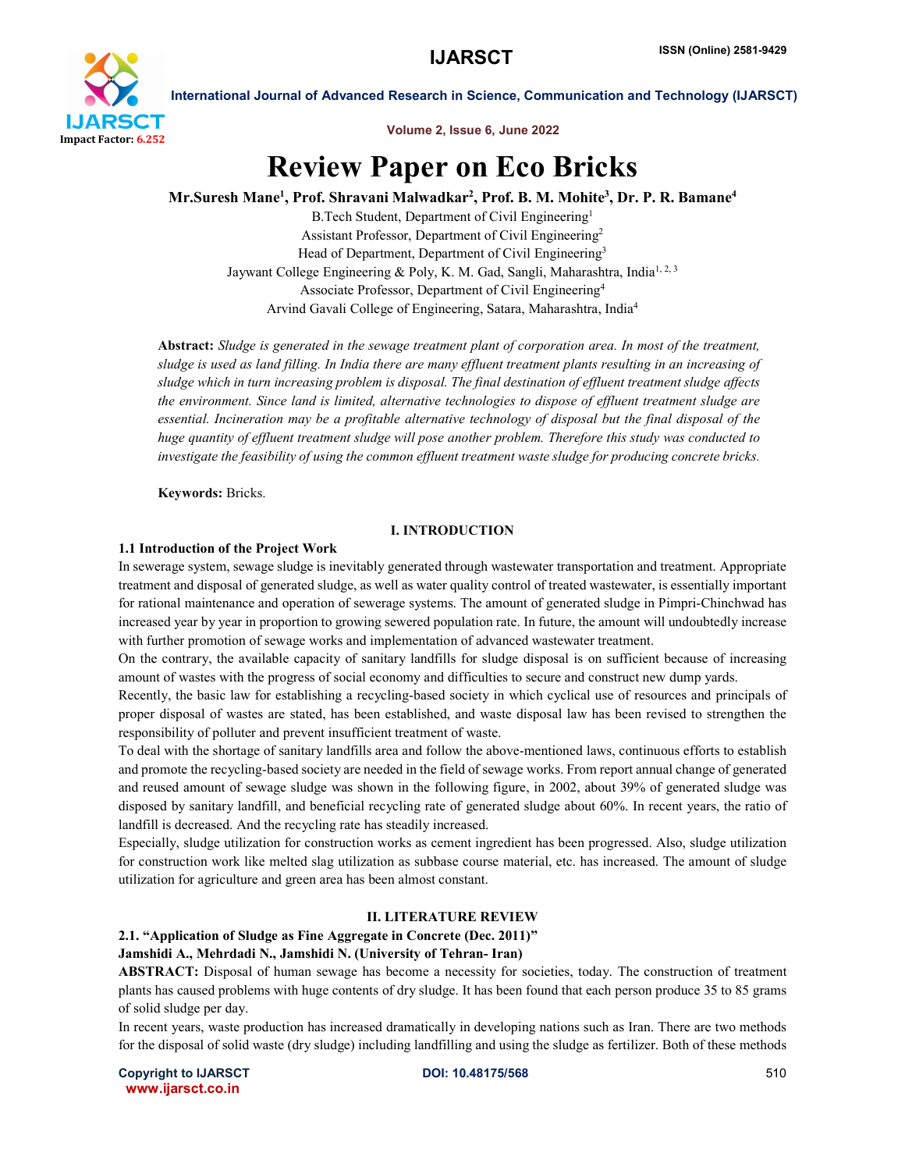

Volume 2, Issue 6, June 2022

# Review Paper on Eco Bricks

# Mr.Suresh Mane<sup>1</sup>, Prof. Shravani Malwadkar<sup>2</sup>, Prof. B. M. Mohite<sup>3</sup>, Dr. P. R. Bamane<sup>4</sup>

B.Tech Student, Department of Civil Engineering1 Assistant Professor, Department of Civil Engineering2 Head of Department, Department of Civil Engineering<sup>3</sup> Jaywant College Engineering & Poly, K. M. Gad, Sangli, Maharashtra, India<sup>1, 2, 3</sup> Associate Professor, Department of Civil Engineering4 Arvind Gavali College of Engineering, Satara, Maharashtra, India4

Abstract: *Sludge is generated in the sewage treatment plant of corporation area. In most of the treatment, sludge is used as land filling. In India there are many effluent treatment plants resulting in an increasing of sludge which in turn increasing problem is disposal. The final destination of effluent treatment sludge affects the environment. Since land is limited, alternative technologies to dispose of effluent treatment sludge are essential. Incineration may be a profitable alternative technology of disposal but the final disposal of the huge quantity of effluent treatment sludge will pose another problem. Therefore this study was conducted to investigate the feasibility of using the common effluent treatment waste sludge for producing concrete bricks.*

Keywords: Bricks.

# I. INTRODUCTION

#### 1.1 Introduction of the Project Work

In sewerage system, sewage sludge is inevitably generated through wastewater transportation and treatment. Appropriate treatment and disposal of generated sludge, as well as water quality control of treated wastewater, is essentially important for rational maintenance and operation of sewerage systems. The amount of generated sludge in Pimpri-Chinchwad has increased year by year in proportion to growing sewered population rate. In future, the amount will undoubtedly increase with further promotion of sewage works and implementation of advanced wastewater treatment.

On the contrary, the available capacity of sanitary landfills for sludge disposal is on sufficient because of increasing amount of wastes with the progress of social economy and difficulties to secure and construct new dump yards.

Recently, the basic law for establishing a recycling-based society in which cyclical use of resources and principals of proper disposal of wastes are stated, has been established, and waste disposal law has been revised to strengthen the responsibility of polluter and prevent insufficient treatment of waste.

To deal with the shortage of sanitary landfills area and follow the above-mentioned laws, continuous efforts to establish and promote the recycling-based society are needed in the field of sewage works. From report annual change of generated and reused amount of sewage sludge was shown in the following figure, in 2002, about 39% of generated sludge was disposed by sanitary landfill, and beneficial recycling rate of generated sludge about 60%. In recent years, the ratio of landfill is decreased. And the recycling rate has steadily increased.

Especially, sludge utilization for construction works as cement ingredient has been progressed. Also, sludge utilization for construction work like melted slag utilization as subbase course material, etc. has increased. The amount of sludge utilization for agriculture and green area has been almost constant.

#### II. LITERATURE REVIEW

# 2.1. "Application of Sludge as Fine Aggregate in Concrete (Dec. 2011)"

#### Jamshidi A., Mehrdadi N., Jamshidi N. (University of Tehran- Iran)

ABSTRACT: Disposal of human sewage has become a necessity for societies, today. The construction of treatment plants has caused problems with huge contents of dry sludge. It has been found that each person produce 35 to 85 grams of solid sludge per day.

In recent years, waste production has increased dramatically in developing nations such as Iran. There are two methods for the disposal of solid waste (dry sludge) including landfilling and using the sludge as fertilizer. Both of these methods

Copyright to IJARSCT **DOI: 10.48175/568** 510 www.ijarsct.co.in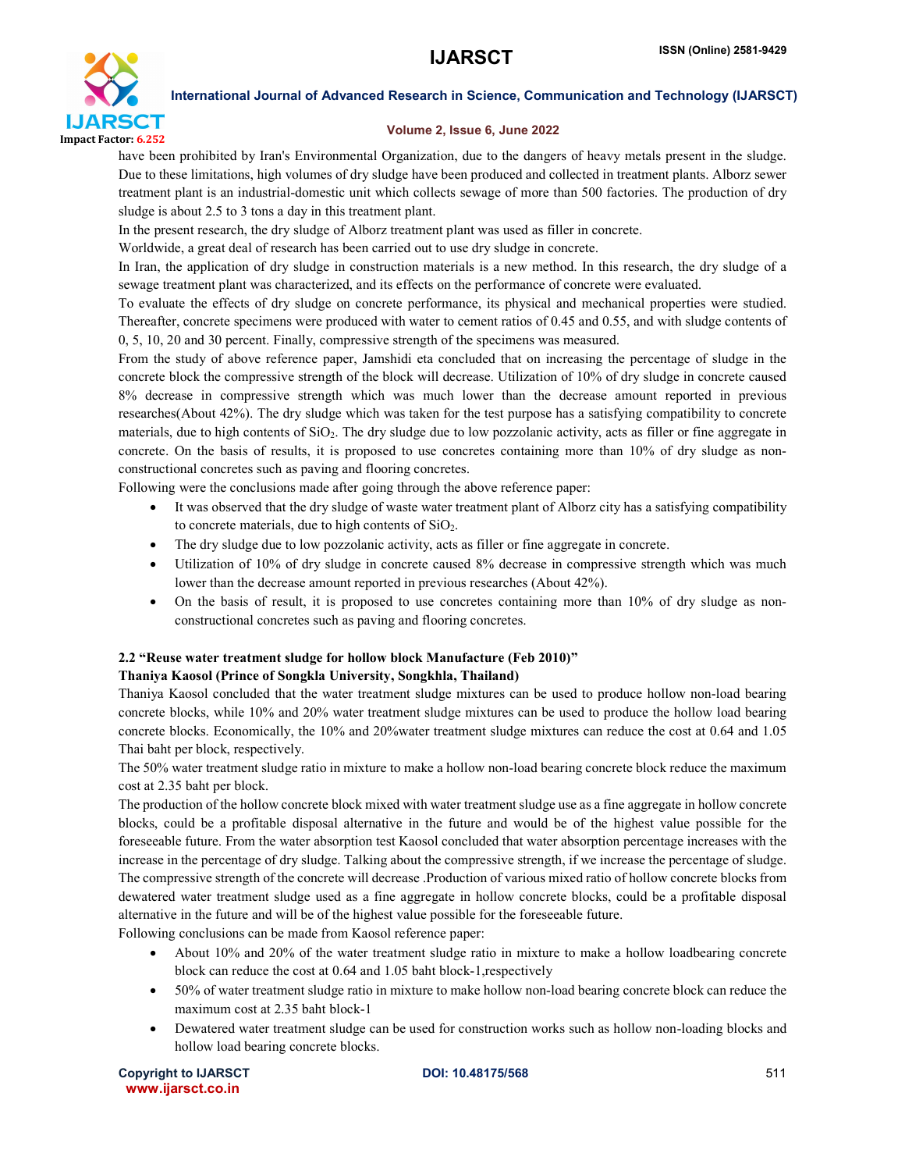

### Volume 2, Issue 6, June 2022

have been prohibited by Iran's Environmental Organization, due to the dangers of heavy metals present in the sludge. Due to these limitations, high volumes of dry sludge have been produced and collected in treatment plants. Alborz sewer treatment plant is an industrial-domestic unit which collects sewage of more than 500 factories. The production of dry sludge is about 2.5 to 3 tons a day in this treatment plant.

In the present research, the dry sludge of Alborz treatment plant was used as filler in concrete.

Worldwide, a great deal of research has been carried out to use dry sludge in concrete.

In Iran, the application of dry sludge in construction materials is a new method. In this research, the dry sludge of a sewage treatment plant was characterized, and its effects on the performance of concrete were evaluated.

To evaluate the effects of dry sludge on concrete performance, its physical and mechanical properties were studied. Thereafter, concrete specimens were produced with water to cement ratios of 0.45 and 0.55, and with sludge contents of 0, 5, 10, 20 and 30 percent. Finally, compressive strength of the specimens was measured.

From the study of above reference paper, Jamshidi eta concluded that on increasing the percentage of sludge in the concrete block the compressive strength of the block will decrease. Utilization of 10% of dry sludge in concrete caused 8% decrease in compressive strength which was much lower than the decrease amount reported in previous researches(About 42%). The dry sludge which was taken for the test purpose has a satisfying compatibility to concrete materials, due to high contents of SiO2. The dry sludge due to low pozzolanic activity, acts as filler or fine aggregate in concrete. On the basis of results, it is proposed to use concretes containing more than 10% of dry sludge as nonconstructional concretes such as paving and flooring concretes.

Following were the conclusions made after going through the above reference paper:

- It was observed that the dry sludge of waste water treatment plant of Alborz city has a satisfying compatibility to concrete materials, due to high contents of  $SiO<sub>2</sub>$ .
- The dry sludge due to low pozzolanic activity, acts as filler or fine aggregate in concrete.
- Utilization of 10% of dry sludge in concrete caused 8% decrease in compressive strength which was much lower than the decrease amount reported in previous researches (About 42%).
- On the basis of result, it is proposed to use concretes containing more than 10% of dry sludge as nonconstructional concretes such as paving and flooring concretes.

# 2.2 "Reuse water treatment sludge for hollow block Manufacture (Feb 2010)"

# Thaniya Kaosol (Prince of Songkla University, Songkhla, Thailand)

Thaniya Kaosol concluded that the water treatment sludge mixtures can be used to produce hollow non-load bearing concrete blocks, while 10% and 20% water treatment sludge mixtures can be used to produce the hollow load bearing concrete blocks. Economically, the 10% and 20%water treatment sludge mixtures can reduce the cost at 0.64 and 1.05 Thai baht per block, respectively.

The 50% water treatment sludge ratio in mixture to make a hollow non-load bearing concrete block reduce the maximum cost at 2.35 baht per block.

The production of the hollow concrete block mixed with water treatment sludge use as a fine aggregate in hollow concrete blocks, could be a profitable disposal alternative in the future and would be of the highest value possible for the foreseeable future. From the water absorption test Kaosol concluded that water absorption percentage increases with the increase in the percentage of dry sludge. Talking about the compressive strength, if we increase the percentage of sludge. The compressive strength of the concrete will decrease .Production of various mixed ratio of hollow concrete blocks from dewatered water treatment sludge used as a fine aggregate in hollow concrete blocks, could be a profitable disposal alternative in the future and will be of the highest value possible for the foreseeable future.

Following conclusions can be made from Kaosol reference paper:

- About 10% and 20% of the water treatment sludge ratio in mixture to make a hollow loadbearing concrete block can reduce the cost at 0.64 and 1.05 baht block-1,respectively
- 50% of water treatment sludge ratio in mixture to make hollow non-load bearing concrete block can reduce the maximum cost at 2.35 baht block-1
- Dewatered water treatment sludge can be used for construction works such as hollow non-loading blocks and hollow load bearing concrete blocks.

Copyright to IJARSCT **DOI: 10.48175/568** 511 www.ijarsct.co.in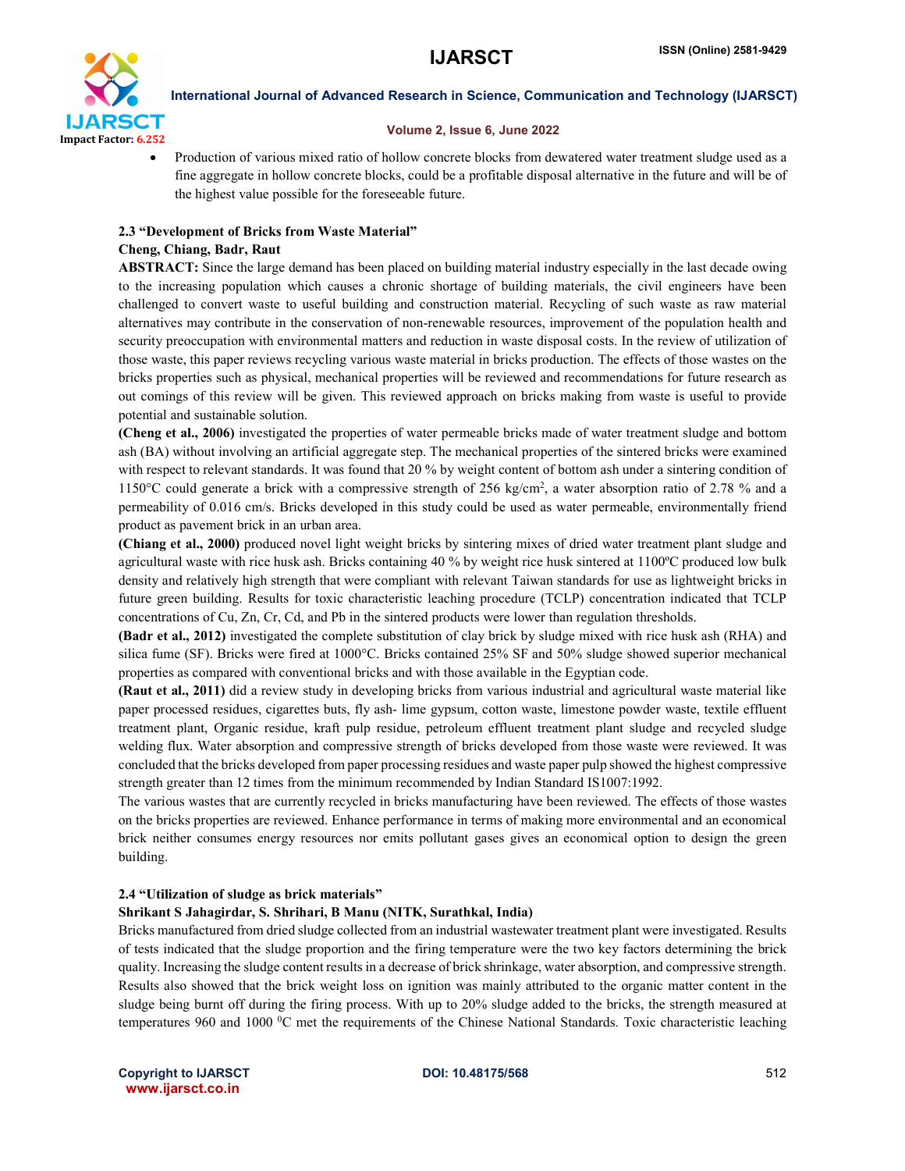

#### Volume 2, Issue 6, June 2022

• Production of various mixed ratio of hollow concrete blocks from dewatered water treatment sludge used as a fine aggregate in hollow concrete blocks, could be a profitable disposal alternative in the future and will be of the highest value possible for the foreseeable future.

# 2.3 "Development of Bricks from Waste Material"

# Cheng, Chiang, Badr, Raut

ABSTRACT: Since the large demand has been placed on building material industry especially in the last decade owing to the increasing population which causes a chronic shortage of building materials, the civil engineers have been challenged to convert waste to useful building and construction material. Recycling of such waste as raw material alternatives may contribute in the conservation of non-renewable resources, improvement of the population health and security preoccupation with environmental matters and reduction in waste disposal costs. In the review of utilization of those waste, this paper reviews recycling various waste material in bricks production. The effects of those wastes on the bricks properties such as physical, mechanical properties will be reviewed and recommendations for future research as out comings of this review will be given. This reviewed approach on bricks making from waste is useful to provide potential and sustainable solution.

(Cheng et al., 2006) investigated the properties of water permeable bricks made of water treatment sludge and bottom ash (BA) without involving an artificial aggregate step. The mechanical properties of the sintered bricks were examined with respect to relevant standards. It was found that 20 % by weight content of bottom ash under a sintering condition of 1150°C could generate a brick with a compressive strength of 256 kg/cm2 , a water absorption ratio of 2.78 % and a permeability of 0.016 cm/s. Bricks developed in this study could be used as water permeable, environmentally friend product as pavement brick in an urban area.

(Chiang et al., 2000) produced novel light weight bricks by sintering mixes of dried water treatment plant sludge and agricultural waste with rice husk ash. Bricks containing 40 % by weight rice husk sintered at 1100ºC produced low bulk density and relatively high strength that were compliant with relevant Taiwan standards for use as lightweight bricks in future green building. Results for toxic characteristic leaching procedure (TCLP) concentration indicated that TCLP concentrations of Cu, Zn, Cr, Cd, and Pb in the sintered products were lower than regulation thresholds.

(Badr et al., 2012) investigated the complete substitution of clay brick by sludge mixed with rice husk ash (RHA) and silica fume (SF). Bricks were fired at 1000°C. Bricks contained 25% SF and 50% sludge showed superior mechanical properties as compared with conventional bricks and with those available in the Egyptian code.

(Raut et al., 2011) did a review study in developing bricks from various industrial and agricultural waste material like paper processed residues, cigarettes buts, fly ash- lime gypsum, cotton waste, limestone powder waste, textile effluent treatment plant, Organic residue, kraft pulp residue, petroleum effluent treatment plant sludge and recycled sludge welding flux. Water absorption and compressive strength of bricks developed from those waste were reviewed. It was concluded that the bricks developed from paper processing residues and waste paper pulp showed the highest compressive strength greater than 12 times from the minimum recommended by Indian Standard IS1007:1992.

The various wastes that are currently recycled in bricks manufacturing have been reviewed. The effects of those wastes on the bricks properties are reviewed. Enhance performance in terms of making more environmental and an economical brick neither consumes energy resources nor emits pollutant gases gives an economical option to design the green building.

#### 2.4 "Utilization of sludge as brick materials"

# Shrikant S Jahagirdar, S. Shrihari, B Manu (NITK, Surathkal, India)

Bricks manufactured from dried sludge collected from an industrial wastewater treatment plant were investigated. Results of tests indicated that the sludge proportion and the firing temperature were the two key factors determining the brick quality. Increasing the sludge content results in a decrease of brick shrinkage, water absorption, and compressive strength. Results also showed that the brick weight loss on ignition was mainly attributed to the organic matter content in the sludge being burnt off during the firing process. With up to 20% sludge added to the bricks, the strength measured at temperatures 960 and 1000 °C met the requirements of the Chinese National Standards. Toxic characteristic leaching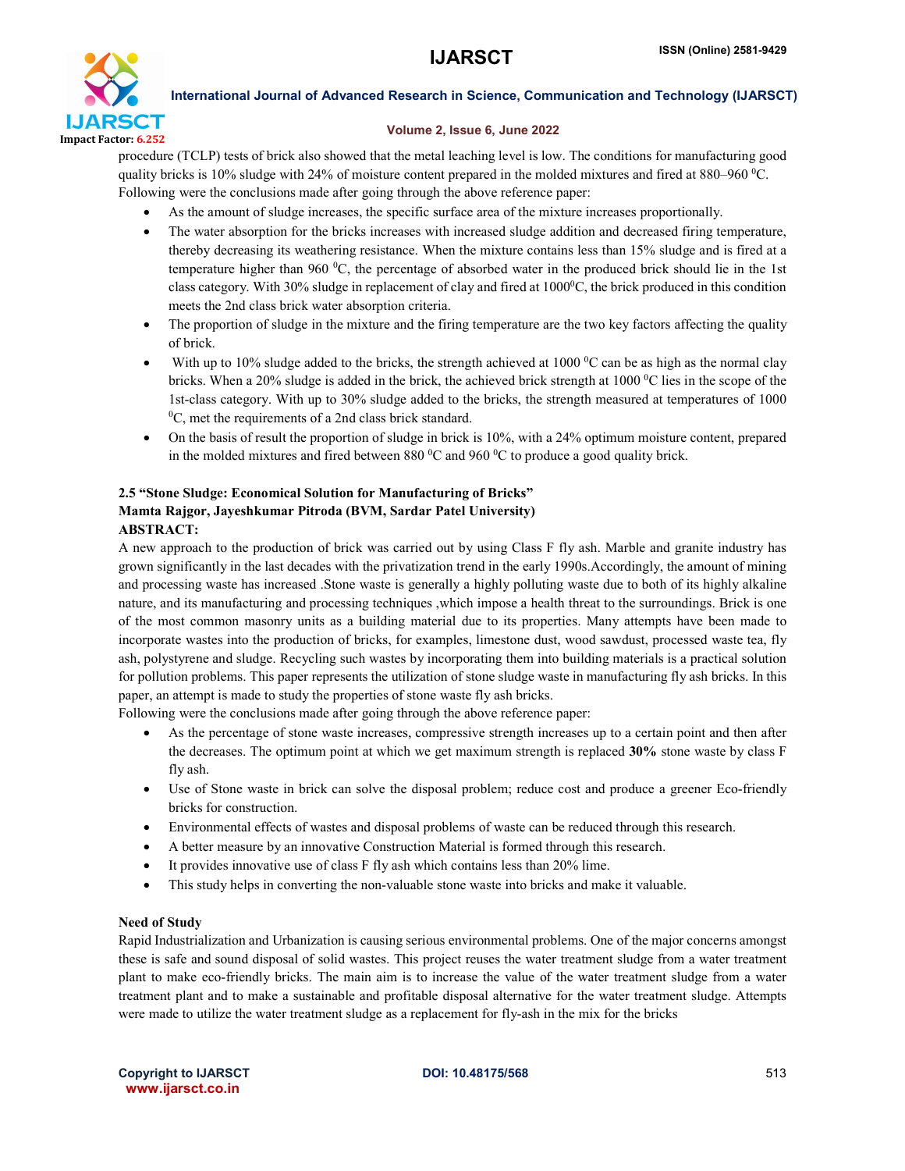

# Volume 2, Issue 6, June 2022

procedure (TCLP) tests of brick also showed that the metal leaching level is low. The conditions for manufacturing good quality bricks is 10% sludge with 24% of moisture content prepared in the molded mixtures and fired at 880–960  $\rm{^0C}$ . Following were the conclusions made after going through the above reference paper:

- As the amount of sludge increases, the specific surface area of the mixture increases proportionally.
- The water absorption for the bricks increases with increased sludge addition and decreased firing temperature, thereby decreasing its weathering resistance. When the mixture contains less than 15% sludge and is fired at a temperature higher than 960 $\degree$ C, the percentage of absorbed water in the produced brick should lie in the 1st class category. With 30% sludge in replacement of clay and fired at  $1000^{\circ}$ C, the brick produced in this condition meets the 2nd class brick water absorption criteria.
- The proportion of sludge in the mixture and the firing temperature are the two key factors affecting the quality of brick.
- With up to 10% sludge added to the bricks, the strength achieved at 1000  $\rm{^0C}$  can be as high as the normal clay bricks. When a 20% sludge is added in the brick, the achieved brick strength at 1000 °C lies in the scope of the 1st-class category. With up to 30% sludge added to the bricks, the strength measured at temperatures of 1000 0  ${}^{0}C$ , met the requirements of a 2nd class brick standard.
- On the basis of result the proportion of sludge in brick is 10%, with a 24% optimum moisture content, prepared in the molded mixtures and fired between 880  $\rm{^0C}$  and 960  $\rm{^0C}$  to produce a good quality brick.

# 2.5 "Stone Sludge: Economical Solution for Manufacturing of Bricks" Mamta Rajgor, Jayeshkumar Pitroda (BVM, Sardar Patel University) ABSTRACT:

A new approach to the production of brick was carried out by using Class F fly ash. Marble and granite industry has grown significantly in the last decades with the privatization trend in the early 1990s.Accordingly, the amount of mining and processing waste has increased .Stone waste is generally a highly polluting waste due to both of its highly alkaline nature, and its manufacturing and processing techniques ,which impose a health threat to the surroundings. Brick is one of the most common masonry units as a building material due to its properties. Many attempts have been made to incorporate wastes into the production of bricks, for examples, limestone dust, wood sawdust, processed waste tea, fly ash, polystyrene and sludge. Recycling such wastes by incorporating them into building materials is a practical solution for pollution problems. This paper represents the utilization of stone sludge waste in manufacturing fly ash bricks. In this paper, an attempt is made to study the properties of stone waste fly ash bricks.

Following were the conclusions made after going through the above reference paper:

- As the percentage of stone waste increases, compressive strength increases up to a certain point and then after the decreases. The optimum point at which we get maximum strength is replaced 30% stone waste by class F fly ash.
- Use of Stone waste in brick can solve the disposal problem; reduce cost and produce a greener Eco-friendly bricks for construction.
- Environmental effects of wastes and disposal problems of waste can be reduced through this research.
- A better measure by an innovative Construction Material is formed through this research.
- It provides innovative use of class F fly ash which contains less than 20% lime.
- This study helps in converting the non-valuable stone waste into bricks and make it valuable.

# Need of Study

Rapid Industrialization and Urbanization is causing serious environmental problems. One of the major concerns amongst these is safe and sound disposal of solid wastes. This project reuses the water treatment sludge from a water treatment plant to make eco-friendly bricks. The main aim is to increase the value of the water treatment sludge from a water treatment plant and to make a sustainable and profitable disposal alternative for the water treatment sludge. Attempts were made to utilize the water treatment sludge as a replacement for fly-ash in the mix for the bricks